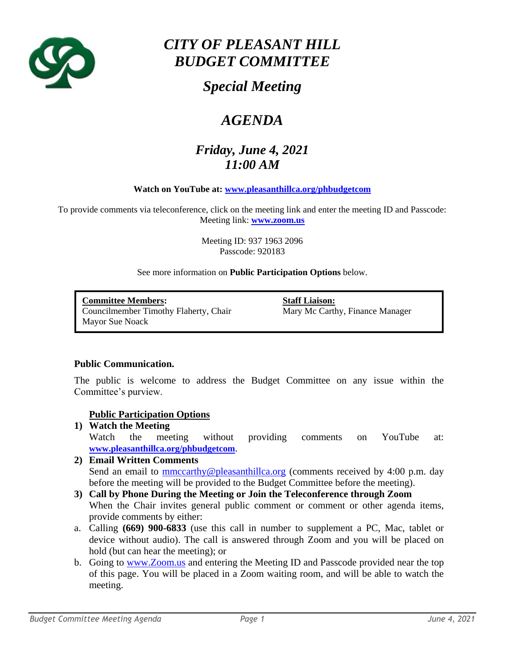

# *CITY OF PLEASANT HILL BUDGET COMMITTEE*

## *Special Meeting*

# *AGENDA*

## *Friday, June 4, 2021 11:00 AM*

#### **Watch on YouTube at: [www.pleasanthillca.org/phbudgetcom](http://www.pleasanthillca.org/phbudgetcom)**

To provide comments via teleconference, click on the meeting link and enter the meeting ID and Passcode: Meeting link: **[www.zoom.us](http://www.zoom.us/)**

> Meeting ID: 937 1963 2096 Passcode: 920183

#### See more information on **Public Participation Options** below.

**Committee Members: Staff Liaison:** Councilmember Timothy Flaherty, Chair Mary Mc Carthy, Finance Manager Mayor Sue Noack

#### **Public Communication.**

The public is welcome to address the Budget Committee on any issue within the Committee's purview.

#### **Public Participation Options**

**1) Watch the Meeting** Watch the meeting without providing comments on YouTube at: **[www.pleasanthillca.org/phbudgetcom](http://www.pleasanthillca.org/phbudgetcom)**. **2) Email Written Comments** 

## Send an email to [mmccarthy@pleasanthillca.org](mailto:mmccarthy@pleasanthillca.org) (comments received by 4:00 p.m. day before the meeting will be provided to the Budget Committee before the meeting).

- **3) Call by Phone During the Meeting or Join the Teleconference through Zoom** When the Chair invites general public comment or comment or other agenda items, provide comments by either:
- a. Calling **(669) 900-6833** (use this call in number to supplement a PC, Mac, tablet or device without audio). The call is answered through Zoom and you will be placed on hold (but can hear the meeting); or
- b. Going to [www.Zoom.us](http://www.zoom.us/) and entering the Meeting ID and Passcode provided near the top of this page. You will be placed in a Zoom waiting room, and will be able to watch the meeting.